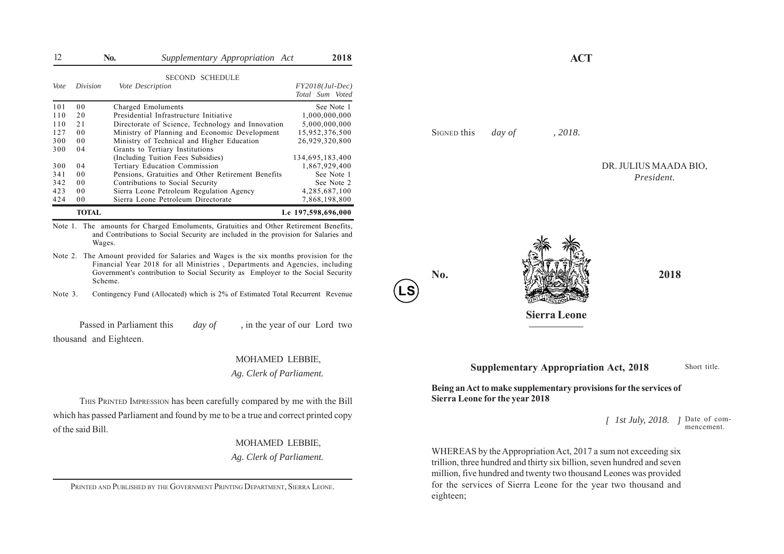| 12   |                | <b>No.</b><br>Supplementary Appropriation Act      | 2018                                 | <b>ACT</b>                     |
|------|----------------|----------------------------------------------------|--------------------------------------|--------------------------------|
| Vote | Division       | <b>SECOND SCHEDULE</b><br>Vote Description         | $FY2018(Jul-Dec)$<br>Total Sum Voted |                                |
| 101  | 0 <sub>0</sub> | Charged Emoluments                                 | See Note 1                           |                                |
| 110  | 20             | Presidential Infrastructure Initiative             | 000,000,000                          |                                |
| 110  | 21             | Directorate of Science, Technology and Innovation  | 5,000,000,000                        |                                |
| 127  | 0 <sub>0</sub> | Ministry of Planning and Economic Development      | 15,952,376,500                       | 2018.<br>SIGNED this<br>day of |
| 300  | 0 <sub>0</sub> | Ministry of Technical and Higher Education         | 26,929,320,800                       |                                |
| 300  | 04             | Grants to Tertiary Institutions                    |                                      |                                |
|      |                | (Including Tuition Fees Subsidies)                 | 134,695,183,400                      |                                |
| 300  | 04             | Tertiary Education Commission                      | 1,867,929,400                        | DR. JULIUS MAAD                |
| 341  | 0 <sub>0</sub> | Pensions, Gratuities and Other Retirement Benefits | See Note 1                           | President.                     |
| 342  | 0 <sub>0</sub> | Contributions to Social Security                   | See Note 2                           |                                |
| 423  | 0 <sub>0</sub> | Sierra Leone Petroleum Regulation Agency           | 4,285,687,100                        |                                |
| 424  | 0 <sub>0</sub> | Sierra Leone Petroleum Directorate                 | 7,868,198,800                        |                                |
|      | <b>TOTAL</b>   |                                                    | Le 197,598,696,000                   |                                |

Note 1. The amounts for Charged Emoluments, Gratuities and Other Retirement Benefits, and Contributions to Social Security are included in the provision for Salaries and Wages.

- Note 2. The Amount provided for Salaries and Wages is the six months provision for the Financial Year 2018 for all Ministries, Departments and Agencies, including Government's contribution to Social Security as Employer to the Social Security Scheme.
- Note 3. Contingency Fund (Allocated) which is 2% of Estimated Total Recurrent Revenue

Passed in Parliament this *day of*, in the year of our Lord two thousand and Eighteen.

## MOHAMED LEBBIE,

*Ag. Clerk of Parliament.*

THIS PRINTED IMPRESSION has been carefully compared by me with the Bill which has passed Parliament and found by me to be a true and correct printed copy of the said Bill.

## MOHAMED LEBBIE,

*Ag. Clerk of Parliament.*

PRINTED AND PUBLISHED BY THE GOVERNMENT PRINTING DEPARTMENT, SIERRA LEONE.

DR. JULIUS MAADA BIO, *President.*



**LS**

**No. 2018**

**Sierra Leone**

 **Supplementary Appropriation Act, 2018**

Short title.

**Being an Act to make supplementary provisions for the services of Sierra Leone for the year 2018**

> *[ ]* Date of com-*1st July, 2018.* mencement.

WHEREAS by the Appropriation Act, 2017 a sum not exceeding six trillion, three hundred and thirty six billion, seven hundred and seven million, five hundred and twenty two thousand Leones was provided for the services of Sierra Leone for the year two thousand and eighteen;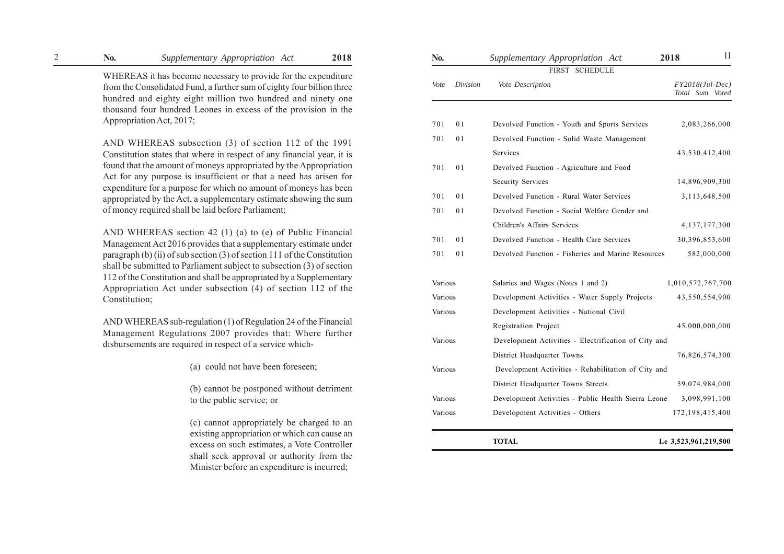## 2 **No.** *Supplementary Appropriation Act* **2018 No.** *Supplementary Appropriation Act* **2018**

WHEREAS it has become necessary to provide for the expenditure from the Consolidated Fund, a further sum of eighty four billion three hundred and eighty eight million two hundred and ninety one thousand four hundred Leones in excess of the provision in the Appropriation Act, 2017;

AND WHEREAS subsection (3) of section 112 of the 1991 Constitution states that where in respect of any financial year, it is found that the amount of moneys appropriated by the Appropriation Act for any purpose is insufficient or that a need has arisen for expenditure for a purpose for which no amount of moneys has bee n appropriated by the Act, a supplementary estimate showing the sum of money required shall be laid before Parliament;

AND WHEREAS section 42 (1) (a) to (e) of Public Financial Management Act 2016 provides that a supplementary estimate under paragraph (b) (ii) of sub section (3) of section 111 of the Constitution shall be submitted to Parliament subject to subsection (3) of section 112 of the Constitution and shall be appropriated by a Supplementary Appropriation Act under subsection (4) of section 112 of the Constitution;

AND WHEREAS sub-regulation (1) of Regulation 24 of the Financial Management Regulations 2007 provides that: Where further disbursements are required in respect of a service which-

(a) could not have been foreseen;

(b) cannot be postponed without detriment to the public service; or

(c) cannot appropriately be charged to an existing appropriation or which can cause an excess on such estimates, a Vote Controller shall seek approval or authority from the Minister before an expenditure is incurred;

| No.     |                | Supplementary Appropriation Act                      | 2018 | 11                                   |
|---------|----------------|------------------------------------------------------|------|--------------------------------------|
|         |                | FIRST SCHEDULE                                       |      |                                      |
| Vote    | Division       | Vote Description                                     |      | $FY2018(Jul-Dec)$<br>Total Sum Voted |
|         |                |                                                      |      |                                      |
| 701     | 01             | Devolved Function - Youth and Sports Services        |      | 2,083,266,000                        |
| 701     | 01             | Devolved Function - Solid Waste Management           |      |                                      |
|         |                | Services                                             |      | 43,530,412,400                       |
| 701     | 01             | Devolved Function - Agriculture and Food             |      |                                      |
|         |                | <b>Security Services</b>                             |      | 14,896,909,300                       |
| 701     | 0 <sub>1</sub> | Devolved Function - Rural Water Services             |      | 3,113,648,500                        |
| 701     | 01             | Devolved Function - Social Welfare Gender and        |      |                                      |
|         |                | Children's Affairs Services                          |      | 4, 137, 177, 300                     |
| 701     | 0 <sub>1</sub> | Devolved Function - Health Care Services             |      | 30,396,853,600                       |
| 701     | 01             | Devolved Function - Fisheries and Marine Resources   |      | 582,000,000                          |
| Various |                | Salaries and Wages (Notes 1 and 2)                   |      | 1,010,572,767,700                    |
| Various |                | Development Activities - Water Supply Projects       |      | 43,550,554,900                       |
| Various |                | Development Activities - National Civil              |      |                                      |
|         |                | Registration Project                                 |      | 45,000,000,000                       |
| Various |                | Development Activities - Electrification of City and |      |                                      |
|         |                | District Headquarter Towns                           |      | 76,826,574,300                       |
| Various |                | Development Activities - Rehabilitation of City and  |      |                                      |
|         |                | District Headquarter Towns Streets                   |      | 59,074,984,000                       |
| Various |                | Development Activities - Public Health Sierra Leone  |      | 3,098,991,100                        |
| Various |                | Development Activities - Others                      |      | 172, 198, 415, 400                   |
|         |                | TOTAL                                                |      | Le 3,523,961,219,500                 |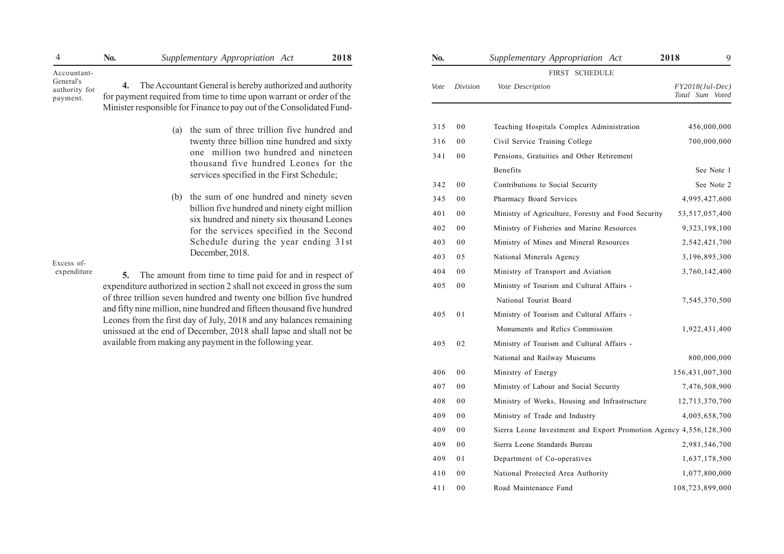| 4                                      | N <sub>0</sub> . | Supplementary Appropriation Act                                                                                                            | 2018 | No.  |                | Supplementary Appropriation Act           | 2018 |
|----------------------------------------|------------------|--------------------------------------------------------------------------------------------------------------------------------------------|------|------|----------------|-------------------------------------------|------|
| Accountant-                            |                  |                                                                                                                                            |      |      |                | SCHEDULE<br><b>FIRST</b>                  |      |
| General's<br>authority for<br>payment. |                  | <b>4.</b> The Accountant General is hereby authorized and authority<br>for payment required from time to time upon warrant or order of the |      | Vote | Division       | Vote Description                          |      |
|                                        |                  | Minister responsible for Finance to pay out of the Consolidated Fund-                                                                      |      |      |                |                                           |      |
|                                        |                  | the sum of three trillion five hundred and<br>(a)                                                                                          |      | 315  | $_{00}$        | Teaching Hospitals Complex Administration |      |
|                                        |                  | twenty three billion nine hundred and sixty                                                                                                |      | 316  | $_{00}$        | Civil Service Training College            |      |
|                                        |                  | one million two hundred and nineteen<br>thousand five hundred Leones for the                                                               |      | 341  | $_{00}$        | Pensions, Gratuities and Other Retirement |      |
|                                        |                  | services specified in the First Schedule;                                                                                                  |      |      |                | Benefits                                  |      |
|                                        |                  |                                                                                                                                            |      | 342  | 0 <sub>0</sub> | Contributions to Social Security          |      |

(b) the sum of one hundred and ninety seven billion five hundred and ninety eight million six hundred and ninety six thousand Leones for the services specified in the Second Schedule during the year ending 31st December, 2018.

Excess of expenditure

**5.** The amount from time to time paid for and in respect of expenditure authorized in section 2 shall not exceed in gross the sum of three trillion seven hundred and twenty one billion five hundred and fifty nine million, nine hundred and fifteen thousand five hundred Leones from the first day of July, 2018 and any balances remaining unissued at the end of December, 2018 shall lapse and shall not be available from making any payment in the following year.

| No.  |                | Supplementary Appropriation Act                                   | 2018<br>9                            |
|------|----------------|-------------------------------------------------------------------|--------------------------------------|
|      |                | FIRST SCHEDULE                                                    |                                      |
| Vote | Division       | Vote Description                                                  | $FY2018(Jul-Dec)$<br>Total Sum Voted |
|      |                |                                                                   |                                      |
| 315  | 00             | Teaching Hospitals Complex Administration                         | 456,000,000                          |
| 316  | 00             | Civil Service Training College                                    | 700,000,000                          |
| 341  | 00             | Pensions, Gratuities and Other Retirement                         |                                      |
|      |                | <b>Benefits</b>                                                   | See Note 1                           |
| 342  | 0 <sub>0</sub> | Contributions to Social Security                                  | See Note 2                           |
| 345  | 00             | Pharmacy Board Services                                           | 4,995,427,600                        |
| 401  | 0 <sub>0</sub> | Ministry of Agriculture, Forestry and Food Security               | 53,517,057,400                       |
| 402  | 00             | Ministry of Fisheries and Marine Resources                        | 9,323,198,100                        |
| 403  | 0 <sub>0</sub> | Ministry of Mines and Mineral Resources                           | 2,542,421,700                        |
| 403  | 05             | National Minerals Agency                                          | 3,196,895,300                        |
| 404  | 00             | Ministry of Transport and Aviation                                | 3,760,142,400                        |
| 405  | 00             | Ministry of Tourism and Cultural Affairs -                        |                                      |
|      |                | National Tourist Board                                            | 7,545,370,500                        |
| 405  | 01             | Ministry of Tourism and Cultural Affairs -                        |                                      |
|      |                | Monuments and Relics Commission                                   | 1,922,431,400                        |
| 405  | 02             | Ministry of Tourism and Cultural Affairs -                        |                                      |
|      |                | National and Railway Museums                                      | 800,000,000                          |
| 406  | 00             | Ministry of Energy                                                | 156,431,007,300                      |
| 407  | 00             | Ministry of Labour and Social Security                            | 7,476,508,900                        |
| 408  | 00             | Ministry of Works, Housing and Infrastructure                     | 12,713,370,700                       |
| 409  | 00             | Ministry of Trade and Industry                                    | 4,005,658,700                        |
| 409  | 00             | Sierra Leone Investment and Export Promotion Agency 4,556,128,300 |                                      |
| 409  | 0 <sub>0</sub> | Sierra Leone Standards Bureau                                     | 2,981,546,700                        |
| 409  | 01             | Department of Co-operatives                                       | 1,637,178,500                        |
| 410  | 00             | National Protected Area Authority                                 | 1,077,800,000                        |
| 411  | 00             | Road Maintenance Fund                                             | 108,723,899,000                      |
|      |                |                                                                   |                                      |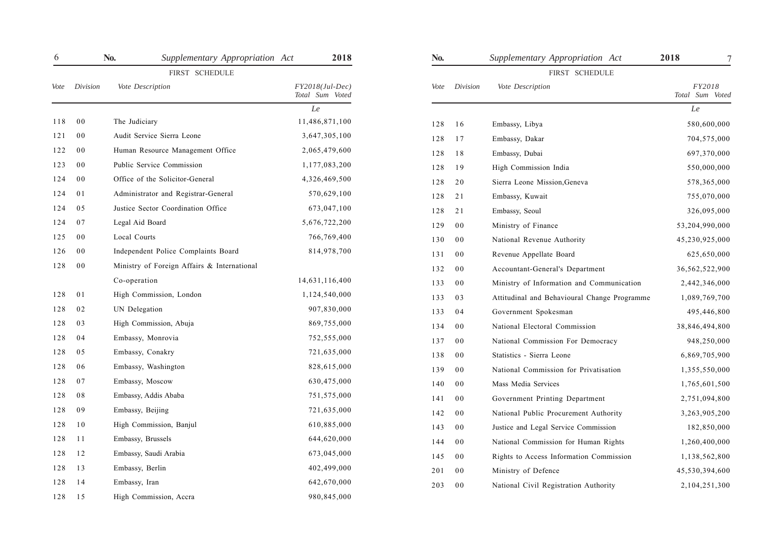| 6    |                | No.                                         | Supplementary Appropriation Act | 2018                                 | No.  |                | Supplementary Appropriation Act              | 2018<br>7                 |
|------|----------------|---------------------------------------------|---------------------------------|--------------------------------------|------|----------------|----------------------------------------------|---------------------------|
|      | FIRST SCHEDULE |                                             |                                 |                                      |      | FIRST SCHEDULE |                                              |                           |
| Vote | Division       | Vote Description                            |                                 | $FY2018(Jul-Dec)$<br>Total Sum Voted | Vote | Division       | Vote Description                             | FY2018<br>Total Sum Voted |
|      |                |                                             |                                 | ${\cal L}e$                          |      |                |                                              | Le                        |
| 118  | 0 <sub>0</sub> | The Judiciary                               |                                 | 11,486,871,100                       | 128  | 16             | Embassy, Libya                               | 580,600,000               |
| 121  | 0 <sub>0</sub> | Audit Service Sierra Leone                  |                                 | 3,647,305,100                        | 128  | 17             | Embassy, Dakar                               | 704,575,000               |
| 122  | 0 <sub>0</sub> | Human Resource Management Office            |                                 | 2,065,479,600                        | 128  | 18             | Embassy, Dubai                               | 697,370,000               |
| 123  | 0 <sub>0</sub> | Public Service Commission                   |                                 | 1,177,083,200                        | 128  | 19             | High Commission India                        | 550,000,000               |
| 124  | 0 <sub>0</sub> | Office of the Solicitor-General             |                                 | 4,326,469,500                        | 128  | 20             | Sierra Leone Mission, Geneva                 | 578,365,000               |
| 124  | 01             | Administrator and Registrar-General         |                                 | 570,629,100                          | 128  | 21             | Embassy, Kuwait                              | 755,070,000               |
| 124  | 05             | Justice Sector Coordination Office          |                                 | 673,047,100                          | 128  | 21             | Embassy, Seoul                               | 326,095,000               |
| 124  | 07             | Legal Aid Board                             |                                 | 5,676,722,200                        | 129  | $00\,$         | Ministry of Finance                          | 53,204,990,000            |
| 125  | 0 <sub>0</sub> | Local Courts                                |                                 | 766,769,400                          | 130  | 0 <sub>0</sub> | National Revenue Authority                   | 45,230,925,000            |
| 126  | 0 <sub>0</sub> | Independent Police Complaints Board         |                                 | 814,978,700                          | 131  | $00\,$         | Revenue Appellate Board                      | 625,650,000               |
| 128  | 0 <sub>0</sub> | Ministry of Foreign Affairs & International |                                 |                                      | 132  | 0 <sub>0</sub> | Accountant-General's Department              | 36,562,522,900            |
|      |                | Co-operation                                |                                 | 14,631,116,400                       | 133  | $00\,$         | Ministry of Information and Communication    | 2,442,346,000             |
| 128  | 01             | High Commission, London                     |                                 | 1,124,540,000                        | 133  | 03             | Attitudinal and Behavioural Change Programme | 1,089,769,700             |
| 128  | 02             | UN Delegation                               |                                 | 907,830,000                          | 133  | 04             | Government Spokesman                         | 495,446,800               |
| 128  | 03             | High Commission, Abuja                      |                                 | 869,755,000                          | 134  | $00\,$         | National Electoral Commission                | 38,846,494,800            |
| 128  | 04             | Embassy, Monrovia                           |                                 | 752,555,000                          | 137  | $00\,$         | National Commission For Democracy            | 948,250,000               |
| 128  | 05             | Embassy, Conakry                            |                                 | 721,635,000                          | 138  | $00\,$         | Statistics - Sierra Leone                    | 6,869,705,900             |
| 128  | 06             | Embassy, Washington                         |                                 | 828,615,000                          | 139  | 0 <sub>0</sub> | National Commission for Privatisation        | 1,355,550,000             |
| 128  | 07             | Embassy, Moscow                             |                                 | 630,475,000                          | 140  | $00\,$         | Mass Media Services                          | 1,765,601,500             |
| 128  | 08             | Embassy, Addis Ababa                        |                                 | 751,575,000                          | 141  | $00\,$         | Government Printing Department               | 2,751,094,800             |
| 128  | 09             | Embassy, Beijing                            |                                 | 721,635,000                          | 142  | $00\,$         | National Public Procurement Authority        | 3,263,905,200             |
| 128  | 10             | High Commission, Banjul                     |                                 | 610,885,000                          | 143  | $00\,$         | Justice and Legal Service Commission         | 182,850,000               |
| 128  | 11             | Embassy, Brussels                           |                                 | 644,620,000                          | 144  | $00\,$         | National Commission for Human Rights         | 1,260,400,000             |
| 128  | 12             | Embassy, Saudi Arabia                       |                                 | 673,045,000                          | 145  | $00\,$         | Rights to Access Information Commission      | 1,138,562,800             |
| 128  | 13             | Embassy, Berlin                             |                                 | 402,499,000                          | 201  | $00\,$         | Ministry of Defence                          | 45,530,394,600            |
| 128  | 14             | Embassy, Iran                               |                                 | 642,670,000                          | 203  | 0 <sub>0</sub> | National Civil Registration Authority        | 2,104,251,300             |
| 128  | 15             | High Commission, Accra                      |                                 | 980,845,000                          |      |                |                                              |                           |

| No.  |          | Supplementary Appropriation Act              | 2018<br>7                 |
|------|----------|----------------------------------------------|---------------------------|
|      |          | FIRST SCHEDULE                               |                           |
| Vote | Division | Vote Description                             | FY2018<br>Total Sum Voted |
|      |          |                                              | Le                        |
| 128  | 16       | Embassy, Libya                               | 580,600,000               |
| 128  | 17       | Embassy, Dakar                               | 704,575,000               |
| 128  | 18       | Embassy, Dubai                               | 697,370,000               |
| 128  | 19       | High Commission India                        | 550,000,000               |
| 128  | 20       | Sierra Leone Mission, Geneva                 | 578,365,000               |
| 128  | 21       | Embassy, Kuwait                              | 755,070,000               |
| 128  | 21       | Embassy, Seoul                               | 326,095,000               |
| 129  | 00       | Ministry of Finance                          | 53,204,990,000            |
| 130  | 00       | National Revenue Authority                   | 45,230,925,000            |
| 131  | 00       | Revenue Appellate Board                      | 625,650,000               |
| 132  | 00       | Accountant-General's Department              | 36,562,522,900            |
| 133  | 00       | Ministry of Information and Communication    | 2,442,346,000             |
| 133  | 03       | Attitudinal and Behavioural Change Programme | 1,089,769,700             |
| 133  | 04       | Government Spokesman                         | 495,446,800               |
| 134  | 00       | National Electoral Commission                | 38,846,494,800            |
| 137  | 00       | National Commission For Democracy            | 948,250,000               |
| 138  | 00       | Statistics - Sierra Leone                    | 6,869,705,900             |
| 139  | 00       | National Commission for Privatisation        | 1,355,550,000             |
| 140  | 00       | Mass Media Services                          | 1,765,601,500             |
| 141  | 00       | Government Printing Department               | 2,751,094,800             |
| 142  | 00       | National Public Procurement Authority        | 3,263,905,200             |
| 143  | 00       | Justice and Legal Service Commission         | 182,850,000               |
| 144  | 00       | National Commission for Human Rights         | 1,260,400,000             |
| 145  | 00       | Rights to Access Information Commission      | 1,138,562,800             |
| 201  | 00       | Ministry of Defence                          | 45,530,394,600            |
| 203  | 00       | National Civil Registration Authority        | 2,104,251,300             |
|      |          |                                              |                           |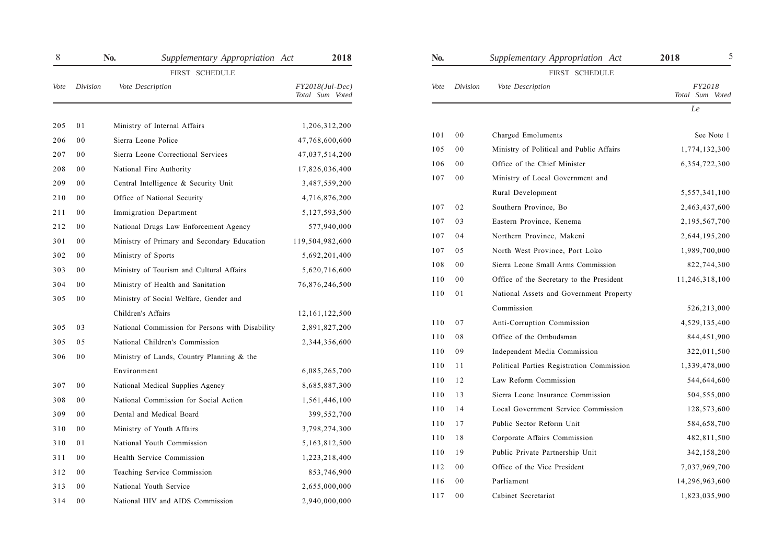| $8\,$ |                | No.<br>Supplementary Appropriation Act          | 2018                                 | No.  |                | Supplementary Appropriation Act           | 2018                      |
|-------|----------------|-------------------------------------------------|--------------------------------------|------|----------------|-------------------------------------------|---------------------------|
|       |                | FIRST SCHEDULE                                  |                                      |      |                | FIRST SCHEDULE                            |                           |
| Vote  | Division       | Vote Description                                | $FY2018(Jul-Dec)$<br>Total Sum Voted | Vote | Division       | Vote Description                          | FY2018<br>Total Sum Voted |
|       |                |                                                 |                                      |      |                |                                           | ${\cal L}e$               |
| 205   | 01             | Ministry of Internal Affairs                    | 1,206,312,200                        |      |                |                                           |                           |
| 206   | 0 <sub>0</sub> | Sierra Leone Police                             | 47,768,600,600                       | 101  | 0 <sub>0</sub> | Charged Emoluments                        | See Note 1                |
| 207   | 0 <sub>0</sub> | Sierra Leone Correctional Services              | 47,037,514,200                       | 105  | 0 <sub>0</sub> | Ministry of Political and Public Affairs  | 1,774,132,300             |
| 208   | 0 <sub>0</sub> | National Fire Authority                         | 17,826,036,400                       | 106  | 0 <sub>0</sub> | Office of the Chief Minister              | 6,354,722,300             |
| 209   | 0 <sub>0</sub> | Central Intelligence & Security Unit            | 3,487,559,200                        | 107  | 0 <sub>0</sub> | Ministry of Local Government and          |                           |
| 210   | 0 <sub>0</sub> | Office of National Security                     | 4,716,876,200                        |      |                | Rural Development                         | 5,557,341,100             |
| 211   | 0 <sub>0</sub> | Immigration Department                          | 5,127,593,500                        | 107  | 02             | Southern Province, Bo                     | 2,463,437,600             |
| 212   | 0 <sub>0</sub> | National Drugs Law Enforcement Agency           | 577,940,000                          | 107  | 03             | Eastern Province, Kenema                  | 2,195,567,700             |
| 301   | 0 <sub>0</sub> | Ministry of Primary and Secondary Education     | 119,504,982,600                      | 107  | 04             | Northern Province, Makeni                 | 2,644,195,200             |
| 302   | 0 <sub>0</sub> | Ministry of Sports                              | 5,692,201,400                        | 107  | 05             | North West Province, Port Loko            | 1,989,700,000             |
| 303   | 0 <sub>0</sub> | Ministry of Tourism and Cultural Affairs        | 5,620,716,600                        | 108  | 0 <sub>0</sub> | Sierra Leone Small Arms Commission        | 822,744,300               |
| 304   | 0 <sub>0</sub> | Ministry of Health and Sanitation               | 76,876,246,500                       | 110  | 0 <sub>0</sub> | Office of the Secretary to the President  | 11,246,318,100            |
| 305   | 0 <sub>0</sub> | Ministry of Social Welfare, Gender and          |                                      | 110  | 01             | National Assets and Government Property   |                           |
|       |                | Children's Affairs                              | 12, 161, 122, 500                    |      |                | Commission                                | 526,213,000               |
| 305   | 03             | National Commission for Persons with Disability | 2,891,827,200                        | 110  | 07             | Anti-Corruption Commission                | 4,529,135,400             |
| 305   | 05             | National Children's Commission                  | 2,344,356,600                        | 110  | 08             | Office of the Ombudsman                   | 844,451,900               |
| 306   | 0 <sub>0</sub> | Ministry of Lands, Country Planning & the       |                                      | 110  | 09             | Independent Media Commission              | 322,011,500               |
|       |                | Environment                                     | 6,085,265,700                        | 110  | 11             | Political Parties Registration Commission | 1,339,478,000             |
| 307   | 0 <sub>0</sub> | National Medical Supplies Agency                | 8,685,887,300                        | 110  | 12             | Law Reform Commission                     | 544,644,600               |
| 308   | 0 <sub>0</sub> | National Commission for Social Action           | 1,561,446,100                        | 110  | 13             | Sierra Leone Insurance Commission         | 504,555,000               |
| 309   | 0 <sub>0</sub> | Dental and Medical Board                        | 399,552,700                          | 110  | 14             | Local Government Service Commission       | 128,573,600               |
| 310   | 0 <sub>0</sub> | Ministry of Youth Affairs                       | 3,798,274,300                        | 110  | 17             | Public Sector Reform Unit                 | 584,658,700               |
| 310   | 01             | National Youth Commission                       | 5,163,812,500                        | 110  | 18             | Corporate Affairs Commission              | 482,811,500               |
| 311   | 0 <sub>0</sub> | Health Service Commission                       | 1,223,218,400                        | 110  | 19             | Public Private Partnership Unit           | 342,158,200               |
| 312   | 0 <sub>0</sub> | Teaching Service Commission                     | 853,746,900                          | 112  | $00\,$         | Office of the Vice President              | 7,037,969,700             |
| 313   | 0 <sub>0</sub> | National Youth Service                          | 2,655,000,000                        | 116  | 0 <sub>0</sub> | Parliament                                | 14,296,963,600            |
| 314   | 0 <sub>0</sub> | National HIV and AIDS Commission                | 2,940,000,000                        | 117  | 0 <sub>0</sub> | Cabinet Secretariat                       | 1,823,035,900             |
|       |                |                                                 |                                      |      |                |                                           |                           |

| NO.  |                | Supplementary Appropriation Act           | 2018<br>J                        |
|------|----------------|-------------------------------------------|----------------------------------|
|      |                | FIRST SCHEDULE                            |                                  |
| Vote | Division       | Vote Description                          | <i>FY2018</i><br>Total Sum Voted |
|      |                |                                           | Le                               |
| 101  | 0 <sub>0</sub> | Charged Emoluments                        | See Note 1                       |
| 105  | 00             | Ministry of Political and Public Affairs  | 1,774,132,300                    |
| 106  | 00             | Office of the Chief Minister              | 6,354,722,300                    |
| 107  | 00             | Ministry of Local Government and          |                                  |
|      |                | Rural Development                         | 5,557,341,100                    |
| 107  | 02             | Southern Province, Bo                     | 2,463,437,600                    |
| 107  | 03             | Eastern Province, Kenema                  | 2,195,567,700                    |
| 107  | 04             | Northern Province, Makeni                 | 2,644,195,200                    |
| 107  | 05             | North West Province, Port Loko            | 1,989,700,000                    |
| 108  | 00             | Sierra Leone Small Arms Commission        | 822,744,300                      |
| 110  | 00             | Office of the Secretary to the President  | 11,246,318,100                   |
| 110  | 01             | National Assets and Government Property   |                                  |
|      |                | Commission                                | 526,213,000                      |
| 110  | 07             | Anti-Corruption Commission                | 4,529,135,400                    |
| 110  | 08             | Office of the Ombudsman                   | 844,451,900                      |
| 110  | 09             | Independent Media Commission              | 322,011,500                      |
| 110  | 11             | Political Parties Registration Commission | 1,339,478,000                    |
| 110  | 12             | Law Reform Commission                     | 544,644,600                      |
| 110  | 13             | Sierra Leone Insurance Commission         | 504,555,000                      |
| 110  | 14             | Local Government Service Commission       | 128,573,600                      |
| 110  | 17             | Public Sector Reform Unit                 | 584,658,700                      |
| 110  | 18             | Corporate Affairs Commission              | 482,811,500                      |
| 110  | 19             | Public Private Partnership Unit           | 342,158,200                      |
| 112  | 00             | Office of the Vice President              | 7,037,969,700                    |
| 116  | 0 <sub>0</sub> | Parliament                                | 14,296,963,600                   |
| 117  | 00             | Cabinet Secretariat                       | 1,823,035,900                    |
|      |                |                                           |                                  |